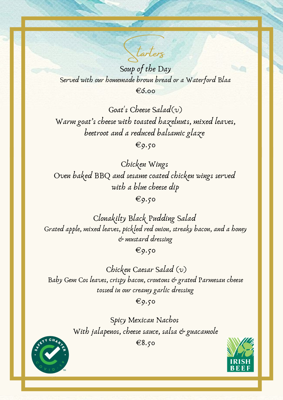Soup of the Day Served with our homemade brown bread or a Waterford Blaa €6.00

Goat 's Cheese Salad(v) Warm goat' s cheese with toasted hazelnuts, mixed leaves, beetroot and a reduced balsamic glaze

 $\epsilon$ 9.50

Chicken Wings Oven baked BBQ and sesame coated chicken wings served with a blue cheese dip  $\epsilon$ 9.50

Chicken Caesar Salad (v) Baby Gem Cos leaves, crispy bacon, croutons & grated Parmesan cheese tossed in our creamy garlic dressing  $\xi$ 9.50

> Spicy Mexican Nachos With jalapenos, cheese sauce, salsa & guacamole

Clonakilty Black Pudding Salad Grated apple, mixed leaves, pickled red onion, streaky bacon, and a honey & mustard dressing

 $\epsilon$ 9.50

€8.50





Starters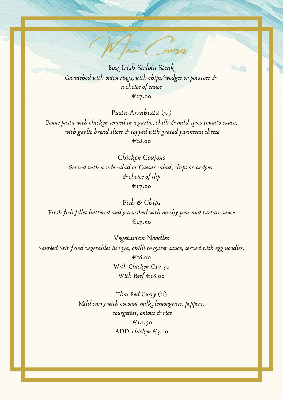W Jain Courses

8oz Irish Sirloin Steak Garnished with onion rings, with chips/wedges or potatoes & a choice of sauce €27.00

Chicken Goujons Served with a side salad or Caesar salad, chips or wedges & choice of dip €17.00

Pasta Arrabiata (v) Penne pasta with chicken served in a garlic, chilli & mild spicy tomato sauce, with garlic bread slices & topped with grated parmesan cheese €16.00

Fish & Chips Fresh fish fillet battered and garnished with mushy peas and tartare sauce €17.50

Vegetarian Noodles Sautéed Stir fried vegetables in soya, chilli & oyster sauce, served with egg noodles. €16.00 With Chicken €17.50 With Beef  $\epsilon$ 18.00

> Thai Red Curry (v) Mild curry with coconut milk, lemongrass, peppers, courgettes, onions & rice €14.50 ADD: chicken  $\epsilon_3$ .00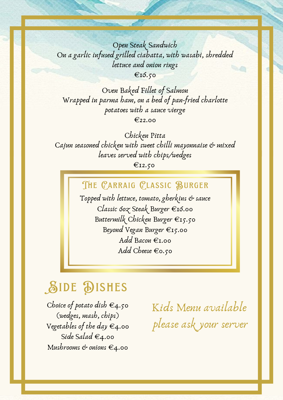Open Steak Sandwich On a garlic infused grilled ciabatta, with wasabi, shredded lettuce and onion rings €16.50

Oven Baked Fillet of Salmon Wrapped in parma ham, on a bed of pan-fried charlotte potatoes with a sauce vierge €22.00

> Buttermilk Chicken Burger €15.50 Beyond Vegan Burger €15.00 Add Bacon €1.00 Add Cheese  $\epsilon$ 0.50

Chicken Pitta Cajun seasoned chicken with sweet chilli mayonnaise & mixed leaves served with chips/wedges

 $E$ 12.50

Topped with lettuce, tomato, gherkins & sauce Classic 6oz Steak Burger €16.00 THE CARRAIG CLASSIC BURGER

> Kids Menu available please ask your server



Choice of potato dish  $\epsilon_{4.50}$ (wedges, mash, chips) Vegetables of the day  $\epsilon_4$ .00 Side Salad  $\epsilon_4$ .00 Mushrooms & onions  $\epsilon_4$ .00